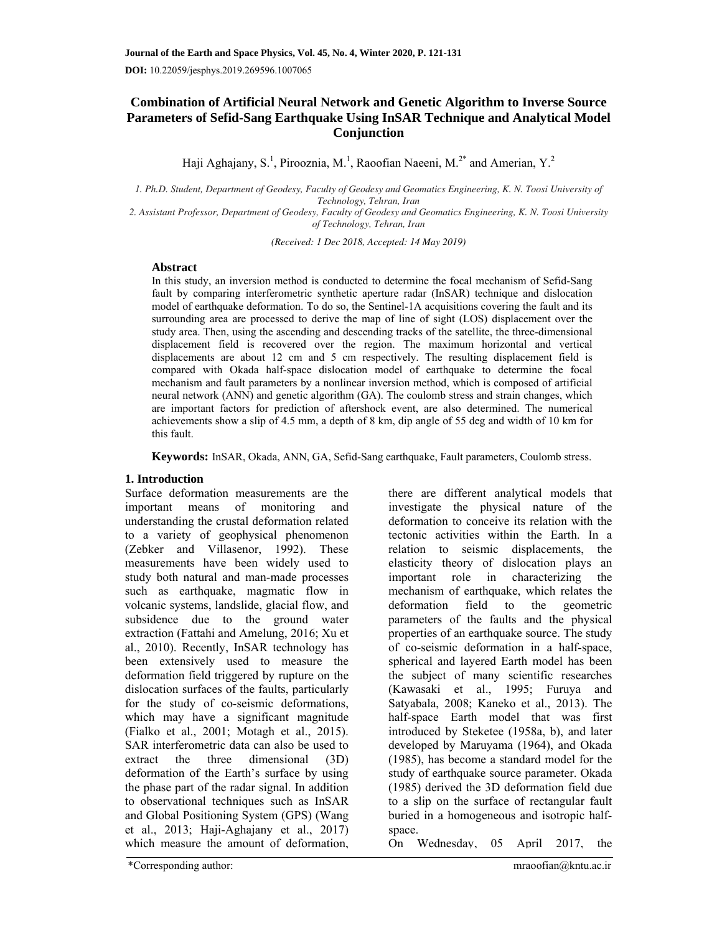# **Combination of Artificial Neural Network and Genetic Algorithm to Inverse Source Parameters of Sefid-Sang Earthquake Using InSAR Technique and Analytical Model Conjunction**

Haji Aghajany, S.<sup>1</sup>, Pirooznia, M.<sup>1</sup>, Raoofian Naeeni, M.<sup>2\*</sup> and Amerian, Y.<sup>2</sup>

*1. Ph.D. Student, Department of Geodesy, Faculty of Geodesy and Geomatics Engineering, K. N. Toosi University of Technology, Tehran, Iran* 

*2. Assistant Professor, Department of Geodesy, Faculty of Geodesy and Geomatics Engineering, K. N. Toosi University of Technology, Tehran, Iran* 

*(Received: 1 Dec 2018, Accepted: 14 May 2019)*

## **Abstract**

In this study, an inversion method is conducted to determine the focal mechanism of Sefid-Sang fault by comparing interferometric synthetic aperture radar (InSAR) technique and dislocation model of earthquake deformation. To do so, the Sentinel-1A acquisitions covering the fault and its surrounding area are processed to derive the map of line of sight (LOS) displacement over the study area. Then, using the ascending and descending tracks of the satellite, the three-dimensional displacement field is recovered over the region. The maximum horizontal and vertical displacements are about 12 cm and 5 cm respectively. The resulting displacement field is compared with Okada half-space dislocation model of earthquake to determine the focal mechanism and fault parameters by a nonlinear inversion method, which is composed of artificial neural network (ANN) and genetic algorithm (GA). The coulomb stress and strain changes, which are important factors for prediction of aftershock event, are also determined. The numerical achievements show a slip of 4.5 mm, a depth of 8 km, dip angle of 55 deg and width of 10 km for this fault.

**Keywords:** InSAR, Okada, ANN, GA, Sefid-Sang earthquake, Fault parameters, Coulomb stress.

## **1. Introduction**

Surface deformation measurements are the important means of monitoring and understanding the crustal deformation related to a variety of geophysical phenomenon (Zebker and Villasenor, 1992). These measurements have been widely used to study both natural and man-made processes such as earthquake, magmatic flow in volcanic systems, landslide, glacial flow, and subsidence due to the ground water extraction (Fattahi and Amelung, 2016; Xu et al., 2010). Recently, InSAR technology has been extensively used to measure the deformation field triggered by rupture on the dislocation surfaces of the faults, particularly for the study of co-seismic deformations, which may have a significant magnitude (Fialko et al., 2001; Motagh et al., 2015). SAR interferometric data can also be used to extract the three dimensional (3D) deformation of the Earth's surface by using the phase part of the radar signal. In addition to observational techniques such as InSAR and Global Positioning System (GPS) (Wang et al., 2013; Haji-Aghajany et al., 2017) which measure the amount of deformation.

there are different analytical models that investigate the physical nature of the deformation to conceive its relation with the tectonic activities within the Earth. In a relation to seismic displacements, the elasticity theory of dislocation plays an important role in characterizing the mechanism of earthquake, which relates the deformation field to the geometric parameters of the faults and the physical properties of an earthquake source. The study of co-seismic deformation in a half-space, spherical and layered Earth model has been the subject of many scientific researches (Kawasaki et al., 1995; Furuya and Satyabala, 2008; Kaneko et al., 2013). The half-space Earth model that was first introduced by Steketee (1958a, b), and later developed by Maruyama (1964), and Okada (1985), has become a standard model for the study of earthquake source parameter. Okada (1985) derived the 3D deformation field due to a slip on the surface of rectangular fault buried in a homogeneous and isotropic halfspace.

On Wednesday, 05 April 2017, the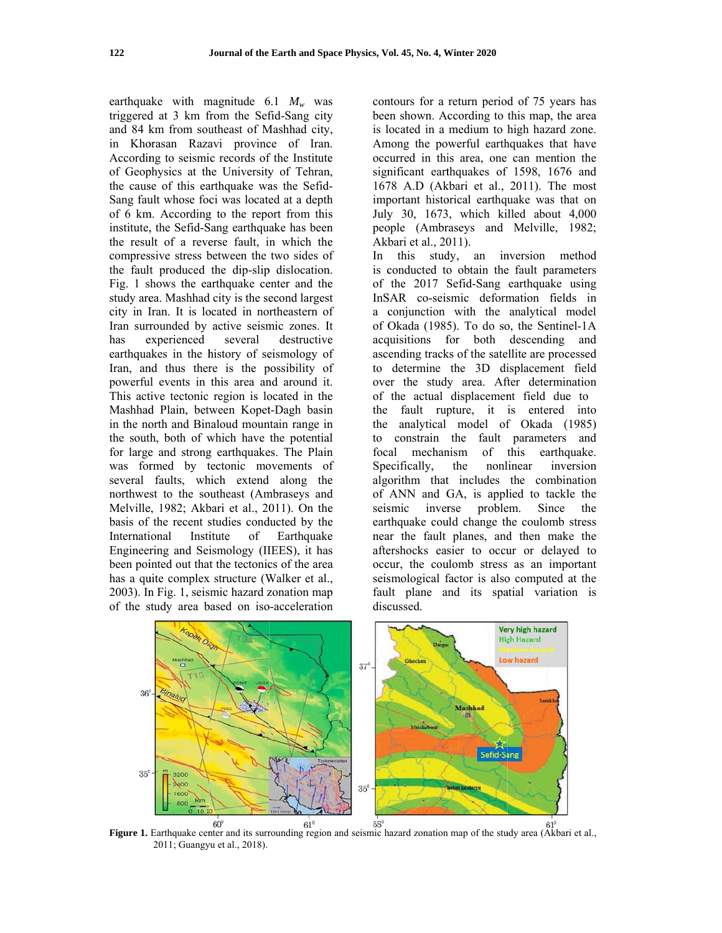earthquake with magnitude  $6.1 M_w$  was triggered d at 3 km f from the Sef fid-Sang city triggered at 3 km from the Sefid-Sang city<br>and 84 km from southeast of Mashhad city, in Khorasan Razavi province of Iran. According to seismic records of the Institute<br>of Geophysics at the University of Tehran, of Geophysics at the University of Tehran the cause of this earthquake was the Sefid-Sang fault whose foci was located at a depth Sang fault whose foci was located at a depth<br>of 6 km. According to the report from this institute, the Sefid-Sang earthquake has been<br>the result of a reverse fault, in which the<br>compressive stress between the two sides of the result of a reverse fault, in which the compressive stress between the two sides o the fault produced the dip-slip dislocation. Fig. 1 shows the earthquake center and the Fig. 1 shows the earthquake center and the study area. Mashhad city is the second largest city in Iran. It is located in northeastern of Iran surrounded by active seismic zones. It has has experienced several destructive<br>earthquakes in the history of seismology of Iran, and thus there is the possibility of powerful events in this area and around it. This active tectonic region is located in the<br>Mashhad Plain, between Kopet-Dagh basin<br>in the north and Binaloud mountain range in<br>the south, both of which have the potential Mashhad Plain, between Kopet-Dagh basin in the north and Binaloud mountain range in the sout h, both of w which have the potentia for large and strong earthquakes. The Plain for large and strong earthquakes. The Plain<br>was formed by tectonic movements of several faults, wh hich extend along the northwest to the southeast (Ambraseys and Melville, 1982; Akbari et al., 2011). On the basis of the recent studies conducted by the International Insti Engineering and Seismology (IIEES), it ha been pointed out that the tectonics of the area<br>has a quite complex structure (Walker et al., has a quite complex structure (Walker et al. 2003). In Fig. 1, seismic hazard zonation map of the study area based on iso-acceleration experienced several Institute of destructive Earthquake edee<br>eee

been shown. According to this map, the area is l located in a medium to h high hazard zone. Among the powerful earthquakes that have occurred in this area, one can mention the significant earthquakes of 1598, 1676 and 167 78 A.D (Ak kbari et al., 2011). The most important historical earthquake was that on July 30, 1673, which killed about 4,000 people (Ambraseys and Melville, 1982; Akb bari et al., 20 011). ntours for a return period of 75 years has

posed to the control of the control of the control of the the the the control of the control of the control of the control of the control of the control of the control of the control of the control of the control of the co In is conducted to obtain the fault parameters of the 2017 S Sefid-Sang earthquake using InSAR co-seismic deformation fields in a conjunction with the analytical model of Okada (1985). To do so, the Sentinel-1A acq quisitions f for both descending and ascending tracks of the satellite are processed to determine the 3D displacement field over the study area. After determination of the actual displacement field due to the fault rupture, it is entered into the analytical model of f Okada ( (1985) to constrain the fault parameters and focal Specifically, algorithm that includes the combination of ANN and GA, is applied to tackle the seismic inver earthquake could change the coulomb stress near the fault planes, and then make the aftershocks easier to occur or delayed to occur, the coulomb stress as an important seismological factor is also computed at the fault plane and its spatial variation is discussed. this stud dy, an in nversion m method mechanism of this the nonl linear inve problem. this earthquake. Since inversion the



Figure 1. Earthquake center and its surrounding region and seismic hazard zonation map of the study area (Akbari et al., 2011; Guangy yu et al., 2018).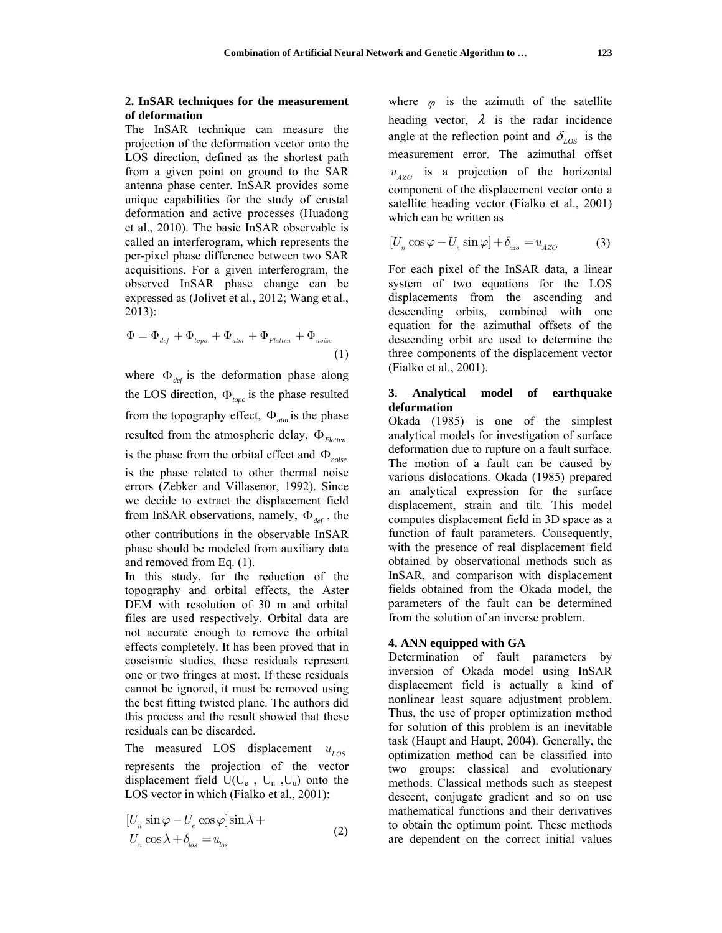#### **2. InSAR techniques for the measurement of deformation**

The InSAR technique can measure the projection of the deformation vector onto the LOS direction, defined as the shortest path from a given point on ground to the SAR antenna phase center. InSAR provides some unique capabilities for the study of crustal deformation and active processes (Huadong et al., 2010). The basic InSAR observable is called an interferogram, which represents the per-pixel phase difference between two SAR acquisitions. For a given interferogram, the observed InSAR phase change can be expressed as (Jolivet et al., 2012; Wang et al., 2013):

$$
\Phi = \Phi_{def} + \Phi_{topo} + \Phi_{atm} + \Phi_{Flatten} + \Phi_{noise}
$$
\n(1)

where  $\Phi_{def}$  is the deformation phase along the LOS direction,  $\Phi_{\text{tone}}$  is the phase resulted from the topography effect,  $\Phi_{atm}$  is the phase resulted from the atmospheric delay,  $\Phi_{Flatten}$ is the phase from the orbital effect and  $\Phi_{noise}$ is the phase related to other thermal noise errors (Zebker and Villasenor, 1992). Since we decide to extract the displacement field from InSAR observations, namely,  $\Phi_{def}$ , the other contributions in the observable InSAR phase should be modeled from auxiliary data and removed from Eq. (1).

In this study, for the reduction of the topography and orbital effects, the Aster DEM with resolution of 30 m and orbital files are used respectively. Orbital data are not accurate enough to remove the orbital effects completely. It has been proved that in coseismic studies, these residuals represent one or two fringes at most. If these residuals cannot be ignored, it must be removed using the best fitting twisted plane. The authors did this process and the result showed that these residuals can be discarded.

The measured LOS displacement  $u_{LOS}$ represents the projection of the vector displacement field  $U(U_e, U_n, U_u)$  onto the LOS vector in which (Fialko et al., 2001):

$$
[U_n \sin \varphi - U_e \cos \varphi] \sin \lambda +U_u \cos \lambda + \delta_{los} = u_{los}
$$
 (2)

where  $\varphi$  is the azimuth of the satellite heading vector,  $\lambda$  is the radar incidence angle at the reflection point and  $\delta_{LOS}$  is the measurement error. The azimuthal offset  $u_{AZO}$  is a projection of the horizontal component of the displacement vector onto a satellite heading vector (Fialko et al., 2001) which can be written as

$$
[U_n \cos \varphi - U_e \sin \varphi] + \delta_{\text{azo}} = u_{\text{AZO}} \tag{3}
$$

For each pixel of the InSAR data, a linear system of two equations for the LOS displacements from the ascending and descending orbits, combined with one equation for the azimuthal offsets of the descending orbit are used to determine the three components of the displacement vector (Fialko et al., 2001).

## **3. Analytical model of earthquake deformation**

Okada (1985) is one of the simplest analytical models for investigation of surface deformation due to rupture on a fault surface. The motion of a fault can be caused by various dislocations. Okada (1985) prepared an analytical expression for the surface displacement, strain and tilt. This model computes displacement field in 3D space as a function of fault parameters. Consequently, with the presence of real displacement field obtained by observational methods such as InSAR, and comparison with displacement fields obtained from the Okada model, the parameters of the fault can be determined from the solution of an inverse problem.

#### **4. ANN equipped with GA**

Determination of fault parameters by inversion of Okada model using InSAR displacement field is actually a kind of nonlinear least square adjustment problem. Thus, the use of proper optimization method for solution of this problem is an inevitable task (Haupt and Haupt, 2004). Generally, the optimization method can be classified into two groups: classical and evolutionary methods. Classical methods such as steepest descent, conjugate gradient and so on use mathematical functions and their derivatives to obtain the optimum point. These methods are dependent on the correct initial values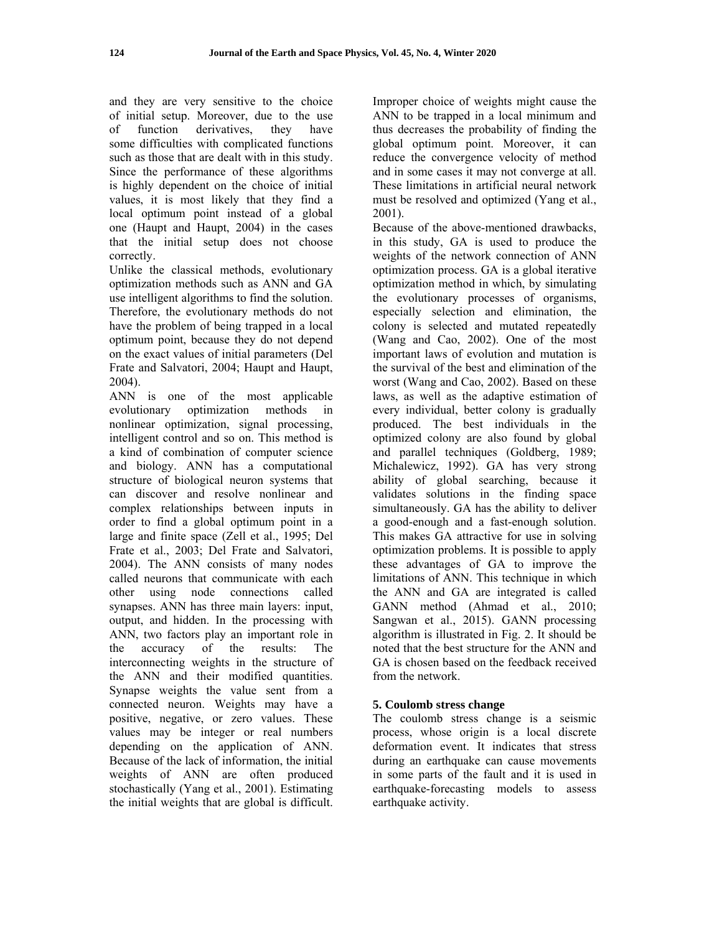and they are very sensitive to the choice of initial setup. Moreover, due to the use of function derivatives, they have some difficulties with complicated functions such as those that are dealt with in this study. Since the performance of these algorithms is highly dependent on the choice of initial values, it is most likely that they find a local optimum point instead of a global one (Haupt and Haupt, 2004) in the cases that the initial setup does not choose correctly.

Unlike the classical methods, evolutionary optimization methods such as ANN and GA use intelligent algorithms to find the solution. Therefore, the evolutionary methods do not have the problem of being trapped in a local optimum point, because they do not depend on the exact values of initial parameters (Del Frate and Salvatori, 2004; Haupt and Haupt, 2004).

ANN is one of the most applicable evolutionary optimization methods in nonlinear optimization, signal processing, intelligent control and so on. This method is a kind of combination of computer science and biology. ANN has a computational structure of biological neuron systems that can discover and resolve nonlinear and complex relationships between inputs in order to find a global optimum point in a large and finite space (Zell et al., 1995; Del Frate et al., 2003; Del Frate and Salvatori, 2004). The ANN consists of many nodes called neurons that communicate with each other using node connections called synapses. ANN has three main layers: input, output, and hidden. In the processing with ANN, two factors play an important role in the accuracy of the results: The interconnecting weights in the structure of the ANN and their modified quantities. Synapse weights the value sent from a connected neuron. Weights may have a positive, negative, or zero values. These values may be integer or real numbers depending on the application of ANN. Because of the lack of information, the initial weights of ANN are often produced stochastically (Yang et al., 2001). Estimating the initial weights that are global is difficult. Improper choice of weights might cause the ANN to be trapped in a local minimum and thus decreases the probability of finding the global optimum point. Moreover, it can reduce the convergence velocity of method and in some cases it may not converge at all. These limitations in artificial neural network must be resolved and optimized (Yang et al., 2001).

Because of the above-mentioned drawbacks, in this study, GA is used to produce the weights of the network connection of ANN optimization process. GA is a global iterative optimization method in which, by simulating the evolutionary processes of organisms, especially selection and elimination, the colony is selected and mutated repeatedly (Wang and Cao, 2002). One of the most important laws of evolution and mutation is the survival of the best and elimination of the worst (Wang and Cao, 2002). Based on these laws, as well as the adaptive estimation of every individual, better colony is gradually produced. The best individuals in the optimized colony are also found by global and parallel techniques (Goldberg, 1989; Michalewicz, 1992). GA has very strong ability of global searching, because it validates solutions in the finding space simultaneously. GA has the ability to deliver a good-enough and a fast-enough solution. This makes GA attractive for use in solving optimization problems. It is possible to apply these advantages of GA to improve the limitations of ANN. This technique in which the ANN and GA are integrated is called GANN method (Ahmad et al., 2010; Sangwan et al., 2015). GANN processing algorithm is illustrated in Fig. 2. It should be noted that the best structure for the ANN and GA is chosen based on the feedback received from the network.

## **5. Coulomb stress change**

The coulomb stress change is a seismic process, whose origin is a local discrete deformation event. It indicates that stress during an earthquake can cause movements in some parts of the fault and it is used in earthquake-forecasting models to assess earthquake activity.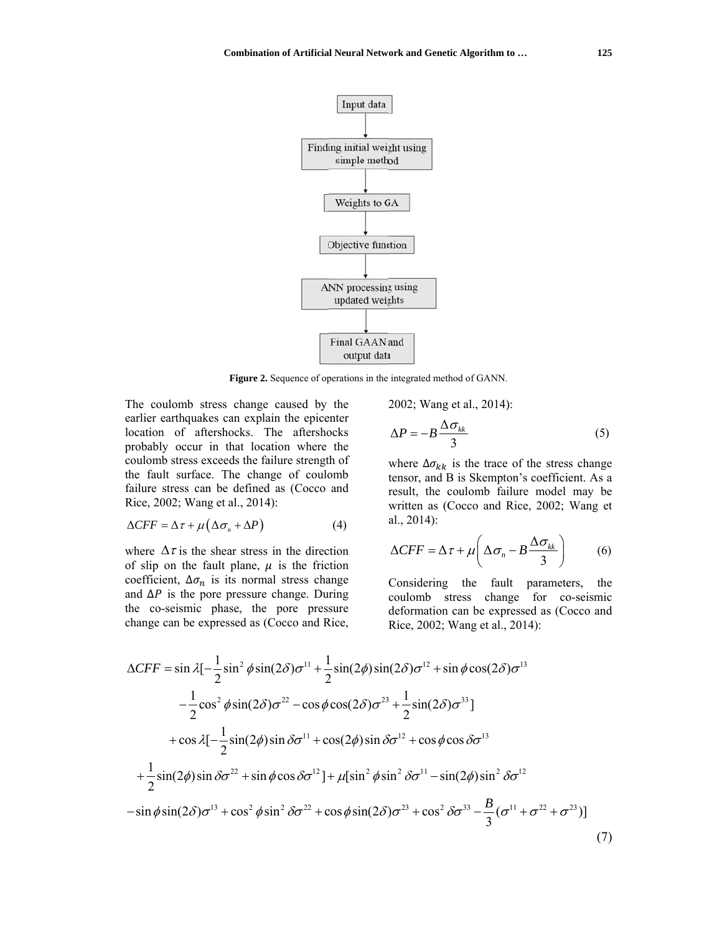

Figure 2. Sequence of operations in the integrated method of GANN.

The coulomb stress change caused by the earlier earthquakes can explain the epicenter location of aftershocks. The aftershocks probably occur in that location where the coulomb stress exceeds the failure strength of the fault surface. The change of coulomb failure stress can be defined as (Cocco and Rice, 2002; Wang et al., 2014):

$$
\Delta CFF = \Delta \tau + \mu \left( \Delta \sigma_n + \Delta P \right) \tag{4}
$$

where  $\Delta \tau$  is the shear stress in the direction of slip on the fault plane,  $\mu$  is the friction coefficient,  $\Delta \sigma_n$  is its normal stress change and  $\Delta P$  is the pore pressure change. During the co-seismic phase, the pore pressure change can be expressed as (Cocco and Rice, 2002; Wang et al., 2014):

$$
\Delta P = -B \frac{\Delta \sigma_{_{kk}}}{3} \tag{5}
$$

where  $\Delta \sigma_{kk}$  is the trace of the stress change tensor, and B is Skempton's coefficient. As a result, the coulomb failure model may be written as (Cocco and Rice, 2002; Wang et  $al., 2014$ :

$$
\Delta CFF = \Delta \tau + \mu \left( \Delta \sigma_n - B \frac{\Delta \sigma_{kk}}{3} \right) \tag{6}
$$

Considering the fault parameters, the coulomb stress change for co-seismic deformation can be expressed as (Cocco and Rice, 2002; Wang et al., 2014):

$$
\Delta CFF = \sin \lambda \left[-\frac{1}{2}\sin^2 \phi \sin(2\delta)\sigma^{11} + \frac{1}{2}\sin(2\phi)\sin(2\delta)\sigma^{12} + \sin \phi \cos(2\delta)\sigma^{13}\right]
$$
  

$$
-\frac{1}{2}\cos^2 \phi \sin(2\delta)\sigma^{22} - \cos \phi \cos(2\delta)\sigma^{23} + \frac{1}{2}\sin(2\delta)\sigma^{33}\right]
$$
  

$$
+\cos \lambda \left[-\frac{1}{2}\sin(2\phi)\sin \delta \sigma^{11} + \cos(2\phi)\sin \delta \sigma^{12} + \cos \phi \cos \delta \sigma^{13}\right]
$$
  

$$
+\frac{1}{2}\sin(2\phi)\sin \delta \sigma^{22} + \sin \phi \cos \delta \sigma^{12}\right] + \mu \left[\sin^2 \phi \sin^2 \delta \sigma^{11} - \sin(2\phi)\sin^2 \delta \sigma^{12}\right]
$$
  

$$
-\sin \phi \sin(2\delta)\sigma^{13} + \cos^2 \phi \sin^2 \delta \sigma^{22} + \cos \phi \sin(2\delta)\sigma^{23} + \cos^2 \delta \sigma^{33} - \frac{B}{3}(\sigma^{11} + \sigma^{22} + \sigma^{23})\right]
$$
(7)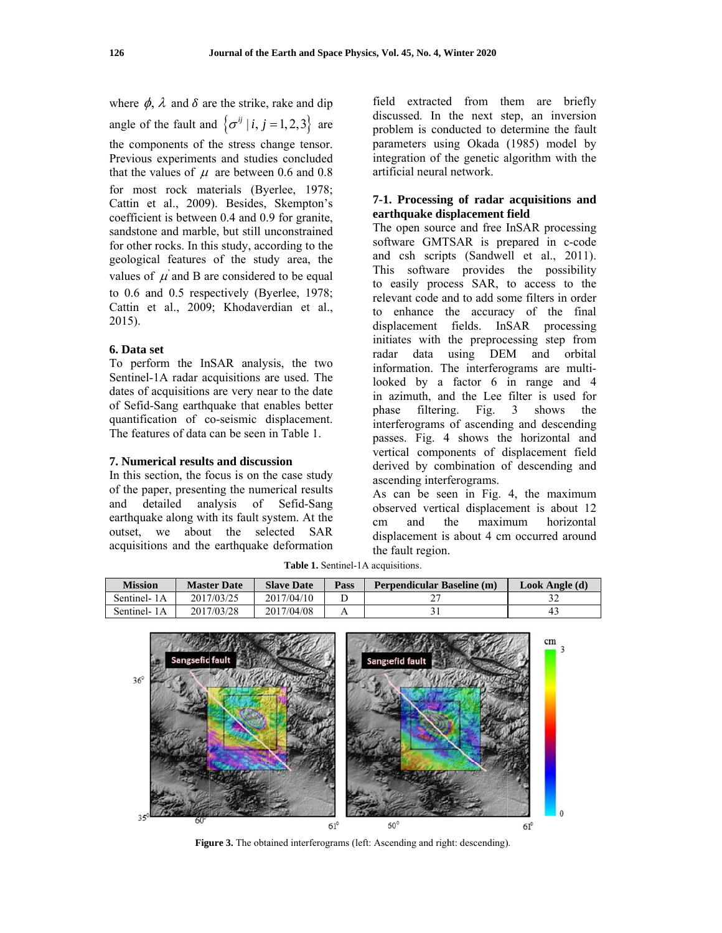where  $\phi$ ,  $\lambda$  and  $\delta$  are the strike, rake and dip angle of the fault and  $\{\sigma^{ij} | i, j = 1, 2, 3\}$  are the components of the stress change tensor. Previous experiments and studies concluded that the values of  $\mu$  are between 0.6 and 0.8 for most rock materials (Byerlee, 1978; Cattin et al., 2009). Besides, Skempton's coefficient is between 0.4 and 0.9 for granite, sandstone and marble, but still unconstrained for other rocks. In this study, according to the geological features of the study area, the values of  $\mu$  and B are considered to be equal to 0.6 and 0.5 respectively (Byerlee, 1978; Cattin et al., 2009; Khodaverdian et al.,  $2015$ ).

#### 6. Data set

To perform the InSAR analysis, the two Sentinel-1A radar acquisitions are used. The dates of acquisitions are very near to the date of Sefid-Sang earthquake that enables better quantification of co-seismic displacement. The features of data can be seen in Table 1.

#### 7. Numerical results and discussion

In this section, the focus is on the case study of the paper, presenting the numerical results and detailed analysis of Sefid-Sang earthquake along with its fault system. At the outset, we about the selected SAR acquisitions and the earthquake deformation field extracted from them are briefly discussed. In the next step, an inversion problem is conducted to determine the fault parameters using Okada (1985) model by integration of the genetic algorithm with the artificial neural network

## 7-1. Processing of radar acquisitions and earthquake displacement field

The open source and free InSAR processing software GMTSAR is prepared in c-code and csh scripts (Sandwell et al., 2011). This software provides the possibility to easily process SAR, to access to the relevant code and to add some filters in order to enhance the accuracy of the final displacement fields. In SAR processing initiates with the preprocessing step from using DEM and orbital radar data information. The interferograms are multilooked by a factor 6 in range and 4 in azimuth, and the Lee filter is used for phase filtering. Fig. 3 shows the interferograms of ascending and descending passes. Fig. 4 shows the horizontal and vertical components of displacement field derived by combination of descending and ascending interferograms.

As can be seen in Fig. 4, the maximum observed vertical displacement is about 12  $cm$ and the maximum horizontal displacement is about 4 cm occurred around the fault region.

| Mission     | <b>Master Date</b> | <b>Slave Date</b> | Pass | Perpendicular Baseline (m) | Look Angle (d) |
|-------------|--------------------|-------------------|------|----------------------------|----------------|
| Sentinel-1A | 2017/03/25         | 2017/04/10        |      |                            |                |
| Sentinel-1A | 2017/03/28         | 2017/04/08        |      |                            | 4:             |

Table 1. Sentinel-1A acquisitions.



Figure 3. The obtained interferograms (left: Ascending and right: descending).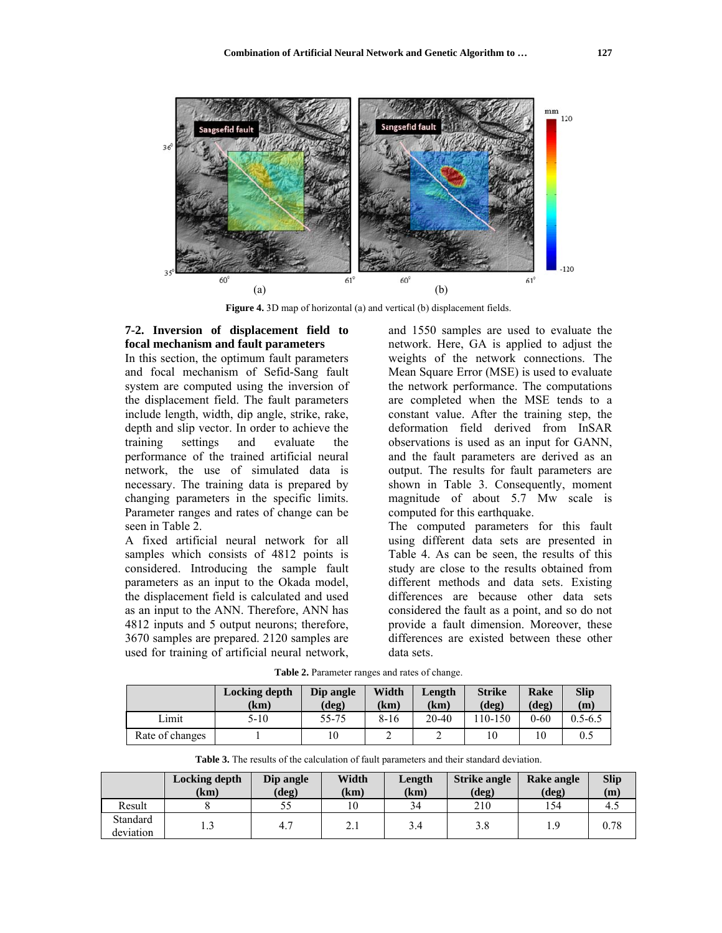

**Figure 4.** 3D map of horizontal (a) and vertical (b) displacement fields.

## 7-2. Inversion of displacement field to focal mechanism and fault parameters

In this section, the optimum fault parameters and focal mech anism of S Sefid-Sang f fault system are computed using the inversion of the displacement field. The fault parameters include length, width, dip angle, strike, rake, depth and slip vector. In order to achieve the training performance of the trained artificial neural network, the use of simulated data is necessary. The training data is prepared by changing parameters in the specific limits. Parameter ranges and rates of change can be seen in Table 2. settings and evaluate the

A fixed artificial neural network for all samples which consists of 4812 points is considered. Introducing the sample fault parameters as an input to the Okada model, the displacement field is calculated and used as an input to the ANN. Therefore, ANN has 4812 inputs and 5 output neu urons; theref fore, 3670 samples are e prepared. 2 120 samples s are used for training of artificial neural network,

deviation

3

4.7

and 1550 samples are used to evaluate the network. Here, GA is applied to adjust the weights of the network connections. The Mean Square Error (MSE) is used to evaluate the network performance. The computations are completed when the MSE tends to a constant value. After the training step, the deformation field derived from InSAR observations is used as an input for GANN, and the fault parameters are derived as an output. The results for fault parameters are shown in Table 3. Consequently, moment magnitude of about 5.7 Mw scale is computed for this earthquake.

The computed parameters for this fault using different data sets are presented in Table 4. As can be seen, the results of this study are close to the results obtained from different m ethods and data sets. Existing differences are because other data sets considered the fault as a point, and so do not provide a fault dimension. Moreover, these differences are existed between these other data sets.

3.8

1.9

0.78

Table 2. Parameter ranges and rates of change.

|                 | <b>Locking depth</b><br>(km) | Dip angle<br>(deg) | Width<br>(km) | Length<br>(km) | <b>Strike</b><br>$(\deg)$ | Rake<br>(deg) | <b>Slip</b><br>(m) |
|-----------------|------------------------------|--------------------|---------------|----------------|---------------------------|---------------|--------------------|
| Lımıt           | $5 - 10$                     | 55-75              | $8 - 16$      | $20 - 40$      | 110-150                   | $0 - 60$      | $0.5 - 6.5$        |
| Rate of changes |                              | 10                 |               |                | 10                        | 10            | 0.5                |

| <b>Table 3.</b> The results of the calculation of fault parameters and their standard deviation. |                       |                    |               |                |                                 |                        |                    |  |
|--------------------------------------------------------------------------------------------------|-----------------------|--------------------|---------------|----------------|---------------------------------|------------------------|--------------------|--|
|                                                                                                  | Locking depth<br>(km) | Dip angle<br>(deg) | Width<br>(km) | Length<br>(km) | <b>Strike angle</b><br>$(\deg)$ | Rake angle<br>$(\deg)$ | <b>Slip</b><br>(m) |  |
| Result                                                                                           |                       | 55                 | 10            | 34             | 210                             | 154                    | -4.                |  |
| Standard                                                                                         |                       |                    |               |                |                                 |                        |                    |  |

3.4

2.1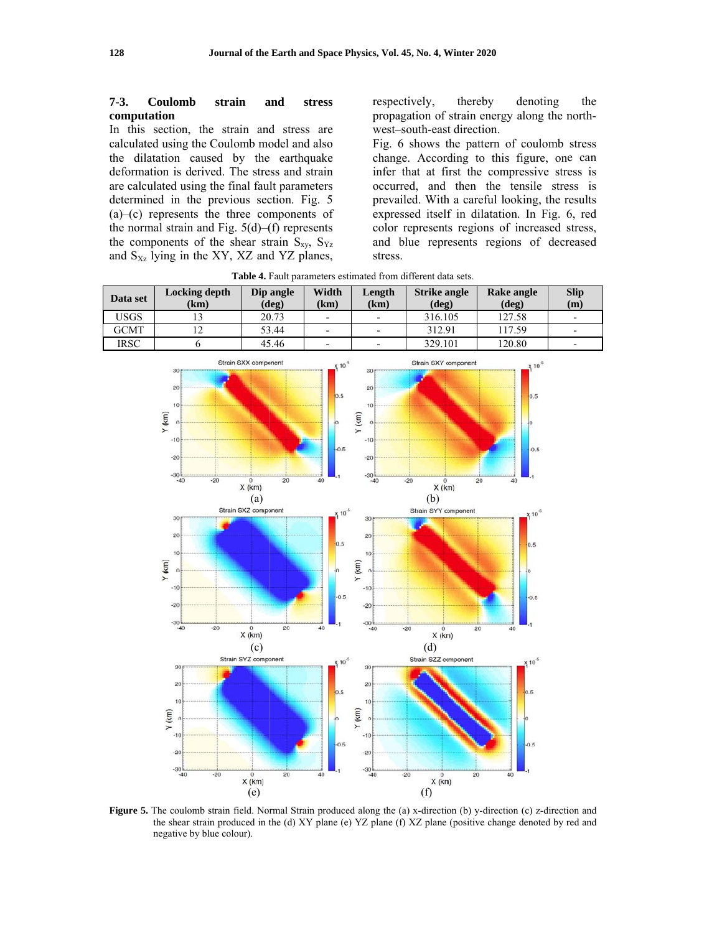#### $7-3.$ Coulomb strain and stress computation

In this section, the strain and stress are calculated using the Coulomb model and also the dilatation caused by the earthquake deformation is derived. The stress and strain are calculated using the final fault parameters determined in the previous section. Fig. 5  $(a)$ -(c) represents the three components of the normal strain and Fig.  $5(d)$ –(f) represents the components of the shear strain  $S_{xy}$ ,  $S_{yz}$ and  $S_{Xz}$  lying in the XY, XZ and YZ planes, respectively, thereby denoting the propagation of strain energy along the northwest-south-east direction.

Fig. 6 shows the pattern of coulomb stress change. According to this figure, one can infer that at first the compressive stress is occurred, and then the tensile stress is prevailed. With a careful looking, the results expressed itself in dilatation. In Fig. 6, red color represents regions of increased stress, and blue represents regions of decreased stress.

Table 4. Fault parameters estimated from different data sets.

| Data set    | Locking depth<br>(km) | Dip angle<br>$(\text{deg})$ | Width<br>(km)            | Length<br>(km) | <b>Strike angle</b><br>$(\deg)$ | Rake angle<br>$(\text{deg})$ | <b>Slip</b><br>(m)       |
|-------------|-----------------------|-----------------------------|--------------------------|----------------|---------------------------------|------------------------------|--------------------------|
| USGS        |                       | 20.73                       | $\overline{\phantom{a}}$ | -              | 316.105                         | 127.58                       | $\overline{\phantom{0}}$ |
| <b>GCMT</b> |                       | 53.44                       | $\overline{\phantom{a}}$ | -              | 312.91                          | 17.59ء                       | $\overline{\phantom{0}}$ |
| IRSC        |                       | 45.46                       | $\blacksquare$           | -              | 329.101                         | 120.80                       | $\overline{\phantom{0}}$ |



Figure 5. The coulomb strain field. Normal Strain produced along the (a) x-direction (b) y-direction (c) z-direction and the shear strain produced in the (d) XY plane (e) YZ plane (f) XZ plane (positive change denoted by red and negative by blue colour).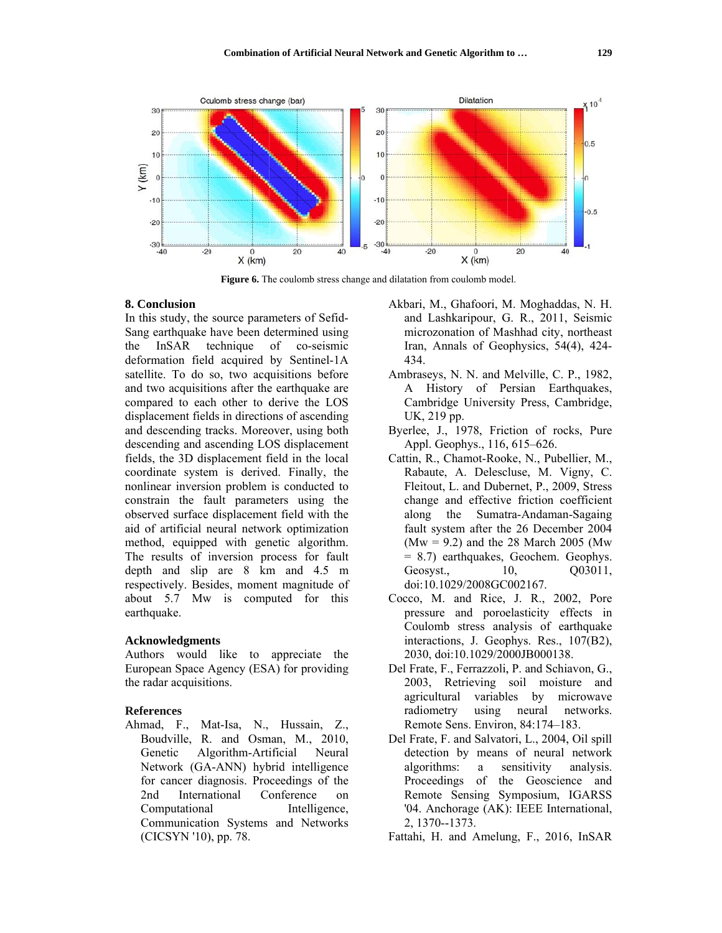

Figure 6. The coulomb stress change and dilatation from coulomb model.

#### 8. Conclusion

In this study, the source parameters of Sefid-Sang earthquake have been determined using the InSAR technique of co-seismic deformation field acquired by Sentinel-1A satellite. To do so, two acquisitions before and two acquisitions after the earthquake are compared to each other to derive the LOS displacement fields in directions of ascending and descending tracks. Moreover, using both descending and ascending LOS displacement fields, the 3D displacement field in the local coordinate system is derived. Finally, the nonlinear inversion problem is conducted to constrain the fault parameters using the observed surface displacement field with the aid of artificial neural network optimization method, equipped with genetic algorithm. The results of inversion process for fault depth and slip are 8 km and 4.5 m respectively. Besides, moment magnitude of about 5.7 Mw is computed for this earthquake.

## **Acknowledgments**

Authors would like to appreciate the European Space Agency (ESA) for providing the radar acquisitions.

#### **References**

Ahmad, F., Mat-Isa, N., Hussain, Z., Boudville, R. and Osman, M., 2010, Genetic Algorithm-Artificial Neural Network (GA-ANN) hybrid intelligence for cancer diagnosis. Proceedings of the 2nd International Conference  $\Omega$ Computational Intelligence, Communication Systems and Networks (CICSYN '10), pp. 78.

- Akbari, M., Ghafoori, M. Moghaddas, N. H. and Lashkaripour, G. R., 2011, Seismic microzonation of Mashhad city, northeast Iran, Annals of Geophysics, 54(4), 424-434.
- Ambraseys, N. N. and Melville, C. P., 1982, A History of Persian Earthquakes, Cambridge University Press, Cambridge, UK, 219 pp.
- Byerlee, J., 1978, Friction of rocks, Pure Appl. Geophys., 116, 615–626.
- Cattin, R., Chamot-Rooke, N., Pubellier, M., Rabaute, A. Delescluse, M. Vigny, C. Fleitout, L. and Dubernet, P., 2009, Stress change and effective friction coefficient Sumatra-Andaman-Sagaing along the fault system after the 26 December 2004  $(Mw = 9.2)$  and the 28 March 2005 (Mw)  $= 8.7$ ) earthquakes, Geochem. Geophys. Geosyst., 10, Q03011, doi:10.1029/2008GC002167.
- Cocco, M. and Rice, J. R., 2002, Pore pressure and poroelasticity effects in Coulomb stress analysis of earthquake interactions, J. Geophys. Res., 107(B2), 2030, doi:10.1029/2000JB000138.
- Del Frate, F., Ferrazzoli, P. and Schiavon, G., 2003, Retrieving soil moisture and agricultural variables by microwave radiometry using neural networks. Remote Sens. Environ, 84:174-183.
- Del Frate, F. and Salvatori, L., 2004, Oil spill detection by means of neural network algorithms: sensitivity analysis. a Proceedings of the Geoscience and Remote Sensing Symposium, IGARSS '04. Anchorage (AK): IEEE International, 2, 1370--1373.
- Fattahi, H. and Amelung, F., 2016, InSAR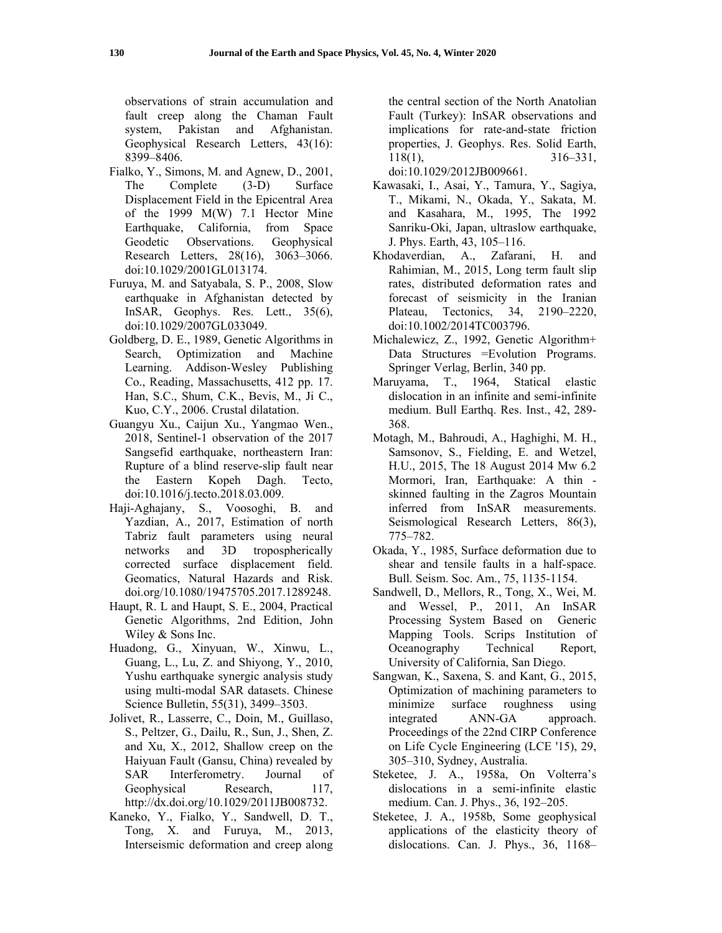observations of strain accumulation and fault creep along the Chaman Fault system, Pakistan and Afghanistan. Geophysical Research Letters, 43(16): 8399–8406.

- Fialko, Y., Simons, M. and Agnew, D., 2001, The Complete (3-D) Surface Displacement Field in the Epicentral Area of the 1999 M(W) 7.1 Hector Mine Earthquake, California, from Space Geodetic Observations. Geophysical Research Letters, 28(16), 3063–3066. doi:10.1029/2001GL013174.
- Furuya, M. and Satyabala, S. P., 2008, Slow earthquake in Afghanistan detected by InSAR, Geophys. Res. Lett., 35(6), doi:10.1029/2007GL033049.
- Goldberg, D. E., 1989, Genetic Algorithms in Search, Optimization and Machine Learning. Addison-Wesley Publishing Co., Reading, Massachusetts, 412 pp. 17. Han, S.C., Shum, C.K., Bevis, M., Ji C., Kuo, C.Y., 2006. Crustal dilatation.
- Guangyu Xu., Caijun Xu., Yangmao Wen., 2018, Sentinel-1 observation of the 2017 Sangsefid earthquake, northeastern Iran: Rupture of a blind reserve-slip fault near the Eastern Kopeh Dagh. Tecto, doi:10.1016/j.tecto.2018.03.009.
- Haji-Aghajany, S., Voosoghi, B. and Yazdian, A., 2017, Estimation of north Tabriz fault parameters using neural networks and 3D tropospherically corrected surface displacement field. Geomatics, Natural Hazards and Risk. doi.org/10.1080/19475705.2017.1289248.
- Haupt, R. L and Haupt, S. E., 2004, Practical Genetic Algorithms, 2nd Edition, John Wiley & Sons Inc.
- Huadong, G., Xinyuan, W., Xinwu, L., Guang, L., Lu, Z. and Shiyong, Y., 2010, Yushu earthquake synergic analysis study using multi-modal SAR datasets. Chinese Science Bulletin, 55(31), 3499–3503.
- Jolivet, R., Lasserre, C., Doin, M., Guillaso, S., Peltzer, G., Dailu, R., Sun, J., Shen, Z. and Xu, X., 2012, Shallow creep on the Haiyuan Fault (Gansu, China) revealed by SAR Interferometry. Journal of Geophysical Research, 117, http://dx.doi.org/10.1029/2011JB008732.
- Kaneko, Y., Fialko, Y., Sandwell, D. T., Tong, X. and Furuya, M., 2013, Interseismic deformation and creep along

the central section of the North Anatolian Fault (Turkey): InSAR observations and implications for rate-and-state friction properties, J. Geophys. Res. Solid Earth, 118(1), 316–331, doi:10.1029/2012JB009661.

Kawasaki, I., Asai, Y., Tamura, Y., Sagiya, T., Mikami, N., Okada, Y., Sakata, M. and Kasahara, M., 1995, The 1992 Sanriku-Oki, Japan, ultraslow earthquake, J. Phys. Earth, 43, 105–116.

- Khodaverdian, A., Zafarani, H. and Rahimian, M., 2015, Long term fault slip rates, distributed deformation rates and forecast of seismicity in the Iranian Plateau, Tectonics, 34, 2190–2220, doi:10.1002/2014TC003796.
- Michalewicz, Z., 1992, Genetic Algorithm+ Data Structures = Evolution Programs. Springer Verlag, Berlin, 340 pp.
- Maruyama, T., 1964, Statical elastic dislocation in an infinite and semi-infinite medium. Bull Earthq. Res. Inst., 42, 289- 368.
- Motagh, M., Bahroudi, A., Haghighi, M. H., Samsonov, S., Fielding, E. and Wetzel, H.U., 2015, The 18 August 2014 Mw 6.2 Mormori, Iran, Earthquake: A thin skinned faulting in the Zagros Mountain inferred from InSAR measurements. Seismological Research Letters, 86(3), 775–782.
- Okada, Y., 1985, Surface deformation due to shear and tensile faults in a half-space. Bull. Seism. Soc. Am., 75, 1135-1154.
- Sandwell, D., Mellors, R., Tong, X., Wei, M. and Wessel, P., 2011, An InSAR Processing System Based on Generic Mapping Tools. Scrips Institution of Oceanography Technical Report, University of California, San Diego.
- Sangwan, K., Saxena, S. and Kant, G., 2015, Optimization of machining parameters to minimize surface roughness using integrated ANN-GA approach. Proceedings of the 22nd CIRP Conference on Life Cycle Engineering (LCE '15), 29, 305–310, Sydney, Australia.
- Steketee, J. A., 1958a, On Volterra's dislocations in a semi-infinite elastic medium. Can. J. Phys., 36, 192–205.
- Steketee, J. A., 1958b, Some geophysical applications of the elasticity theory of dislocations. Can. J. Phys., 36, 1168–